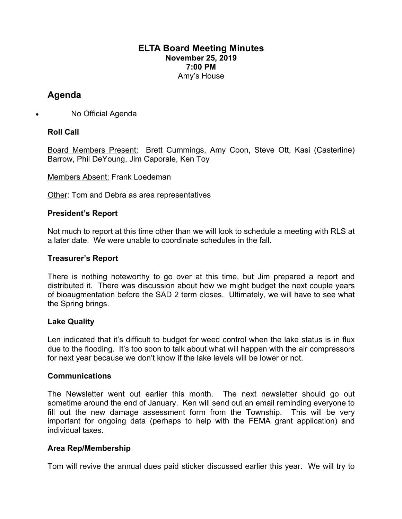# **ELTA Board Meeting Minutes November 25, 2019 7:00 PM** Amy's House

# **Agenda**

• No Official Agenda

# **Roll Call**

Board Members Present: Brett Cummings, Amy Coon, Steve Ott, Kasi (Casterline) Barrow, Phil DeYoung, Jim Caporale, Ken Toy

Members Absent: Frank Loedeman

Other: Tom and Debra as area representatives

# **President's Report**

Not much to report at this time other than we will look to schedule a meeting with RLS at a later date. We were unable to coordinate schedules in the fall.

#### **Treasurer's Report**

There is nothing noteworthy to go over at this time, but Jim prepared a report and distributed it. There was discussion about how we might budget the next couple years of bioaugmentation before the SAD 2 term closes. Ultimately, we will have to see what the Spring brings.

# **Lake Quality**

Len indicated that it's difficult to budget for weed control when the lake status is in flux due to the flooding. It's too soon to talk about what will happen with the air compressors for next year because we don't know if the lake levels will be lower or not.

#### **Communications**

The Newsletter went out earlier this month. The next newsletter should go out sometime around the end of January. Ken will send out an email reminding everyone to fill out the new damage assessment form from the Township. This will be very important for ongoing data (perhaps to help with the FEMA grant application) and individual taxes.

# **Area Rep/Membership**

Tom will revive the annual dues paid sticker discussed earlier this year. We will try to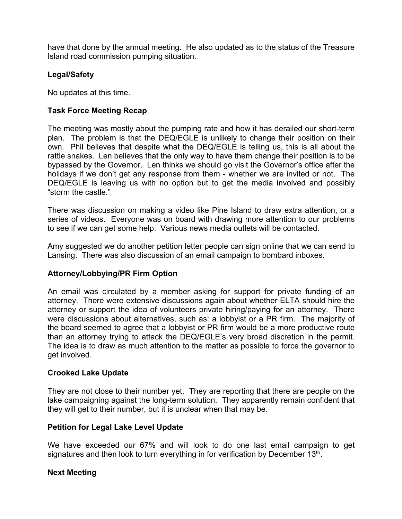have that done by the annual meeting. He also updated as to the status of the Treasure Island road commission pumping situation.

# **Legal/Safety**

No updates at this time.

# **Task Force Meeting Recap**

The meeting was mostly about the pumping rate and how it has derailed our short-term plan. The problem is that the DEQ/EGLE is unlikely to change their position on their own. Phil believes that despite what the DEQ/EGLE is telling us, this is all about the rattle snakes. Len believes that the only way to have them change their position is to be bypassed by the Governor. Len thinks we should go visit the Governor's office after the holidays if we don't get any response from them - whether we are invited or not. The DEQ/EGLE is leaving us with no option but to get the media involved and possibly "storm the castle."

There was discussion on making a video like Pine Island to draw extra attention, or a series of videos. Everyone was on board with drawing more attention to our problems to see if we can get some help. Various news media outlets will be contacted.

Amy suggested we do another petition letter people can sign online that we can send to Lansing. There was also discussion of an email campaign to bombard inboxes.

# **Attorney/Lobbying/PR Firm Option**

An email was circulated by a member asking for support for private funding of an attorney. There were extensive discussions again about whether ELTA should hire the attorney or support the idea of volunteers private hiring/paying for an attorney. There were discussions about alternatives, such as: a lobbyist or a PR firm. The majority of the board seemed to agree that a lobbyist or PR firm would be a more productive route than an attorney trying to attack the DEQ/EGLE's very broad discretion in the permit. The idea is to draw as much attention to the matter as possible to force the governor to get involved.

# **Crooked Lake Update**

They are not close to their number yet. They are reporting that there are people on the lake campaigning against the long-term solution. They apparently remain confident that they will get to their number, but it is unclear when that may be.

# **Petition for Legal Lake Level Update**

We have exceeded our 67% and will look to do one last email campaign to get signatures and then look to turn everything in for verification by December  $13<sup>th</sup>$ .

# **Next Meeting**